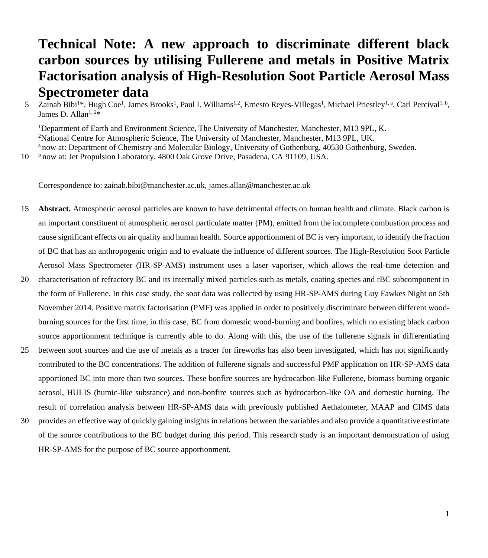# **Technical Note: A new approach to discriminate different black carbon sources by utilising Fullerene and metals in Positive Matrix Factorisation analysis of High-Resolution Soot Particle Aerosol Mass Spectrometer data**

5 Zainab Bibi<sup>1\*</sup>, Hugh Coe<sup>1</sup>, James Brooks<sup>1</sup>, Paul I. Williams<sup>1,2</sup>, Ernesto Reyes-Villegas<sup>1</sup>, Michael Priestley<sup>1, a</sup>, Carl Percival<sup>1, b</sup>, James D. Allan<sup>1, 2\*</sup>

<sup>1</sup>Department of Earth and Environment Science, The University of Manchester, Manchester, M13 9PL, K. <sup>2</sup>National Centre for Atmospheric Science, The University of Manchester, Manchester, M13 9PL, UK. <sup>a</sup> now at: Department of Chemistry and Molecular Biology, University of Gothenburg, 40530 Gothenburg, Sweden.

10 blnow at: Jet Propulsion Laboratory, 4800 Oak Grove Drive, Pasadena, CA 91109, USA.

Correspondence to: zainab.bibi@manchester.ac.uk, james.allan@manchester.ac.uk

- 15 **Abstract.** Atmospheric aerosol particles are known to have detrimental effects on human health and climate. Black carbon is an important constituent of atmospheric aerosol particulate matter (PM), emitted from the incomplete combustion process and cause significant effects on air quality and human health. Source apportionment of BC is very important, to identify the fraction of BC that has an anthropogenic origin and to evaluate the influence of different sources. The High-Resolution Soot Particle Aerosol Mass Spectrometer (HR-SP-AMS) instrument uses a laser vaporiser, which allows the real-time detection and
- 20 characterisation of refractory BC and its internally mixed particles such as metals, coating species and rBC subcomponent in the form of Fullerene. In this case study, the soot data was collected by using HR-SP-AMS during Guy Fawkes Night on 5th November 2014. Positive matrix factorisation (PMF) was applied in order to positively discriminate between different woodburning sources for the first time, in this case, BC from domestic wood-burning and bonfires, which no existing black carbon source apportionment technique is currently able to do. Along with this, the use of the fullerene signals in differentiating
- 25 between soot sources and the use of metals as a tracer for fireworks has also been investigated, which has not significantly contributed to the BC concentrations. The addition of fullerene signals and successful PMF application on HR-SP-AMS data apportioned BC into more than two sources. These bonfire sources are hydrocarbon-like Fullerene, biomass burning organic aerosol, HULIS (humic-like substance) and non-bonfire sources such as hydrocarbon-like OA and domestic burning. The result of correlation analysis between HR-SP-AMS data with previously published Aethalometer, MAAP and CIMS data
- 30 provides an effective way of quickly gaining insights in relations between the variables and also provide a quantitative estimate of the source contributions to the BC budget during this period. This research study is an important demonstration of using HR-SP-AMS for the purpose of BC source apportionment.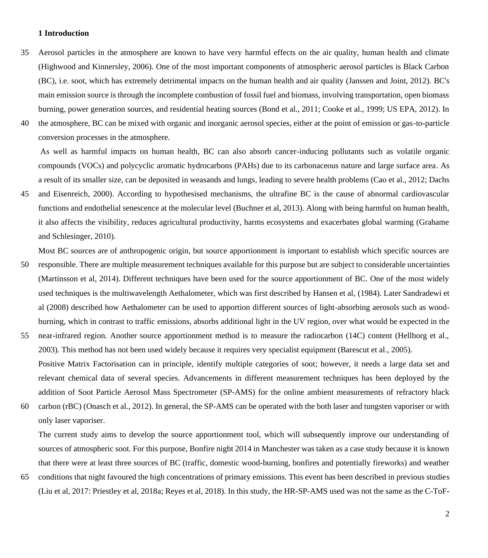# **1 Introduction**

- 35 Aerosol particles in the atmosphere are known to have very harmful effects on the air quality, human health and climate (Highwood and Kinnersley, 2006). One of the most important components of atmospheric aerosol particles is Black Carbon (BC), i.e. soot, which has extremely detrimental impacts on the human health and air quality (Janssen and Joint, 2012). BC's main emission source is through the incomplete combustion of fossil fuel and biomass, involving transportation, open biomass burning, power generation sources, and residential heating sources (Bond et al., 2011; Cooke et al., 1999; US EPA, 2012). In
- 40 the atmosphere, BC can be mixed with organic and inorganic aerosol species, either at the point of emission or gas-to-particle conversion processes in the atmosphere.

As well as harmful impacts on human health, BC can also absorb cancer-inducing pollutants such as volatile organic compounds (VOCs) and polycyclic aromatic hydrocarbons (PAHs) due to its carbonaceous nature and large surface area. As a result of its smaller size, can be deposited in weasands and lungs, leading to severe health problems (Cao et al., 2012; Dachs

45 and Eisenreich, 2000). According to hypothesised mechanisms, the ultrafine BC is the cause of abnormal cardiovascular functions and endothelial senescence at the molecular level (Buchner et al, 2013). Along with being harmful on human health, it also affects the visibility, reduces agricultural productivity, harms ecosystems and exacerbates global warming (Grahame and Schlesinger, 2010).

Most BC sources are of anthropogenic origin, but source apportionment is important to establish which specific sources are

- 50 responsible. There are multiple measurement techniques available for this purpose but are subject to considerable uncertainties (Martinsson et al, 2014). Different techniques have been used for the source apportionment of BC. One of the most widely used techniques is the multiwavelength Aethalometer, which was first described by Hansen et al, (1984). Later Sandradewi et al (2008) described how Aethalometer can be used to apportion different sources of light-absorbing aerosols such as woodburning, which in contrast to traffic emissions, absorbs additional light in the UV region, over what would be expected in the
- 55 near-infrared region. Another source apportionment method is to measure the radiocarbon (14C) content (Hellborg et al., 2003). This method has not been used widely because it requires very specialist equipment (Barescut et al., 2005). Positive Matrix Factorisation can in principle, identify multiple categories of soot; however, it needs a large data set and relevant chemical data of several species. Advancements in different measurement techniques has been deployed by the addition of Soot Particle Aerosol Mass Spectrometer (SP-AMS) for the online ambient measurements of refractory black
- 60 carbon (rBC) (Onasch et al., 2012). In general, the SP-AMS can be operated with the both laser and tungsten vaporiser or with only laser vaporiser.

The current study aims to develop the source apportionment tool, which will subsequently improve our understanding of sources of atmospheric soot. For this purpose, Bonfire night 2014 in Manchester was taken as a case study because it is known that there were at least three sources of BC (traffic, domestic wood-burning, bonfires and potentially fireworks) and weather

65 conditions that night favoured the high concentrations of primary emissions. This event has been described in previous studies (Liu et al, 2017: Priestley et al, 2018a; Reyes et al, 2018). In this study, the HR-SP-AMS used was not the same as the C-ToF-

2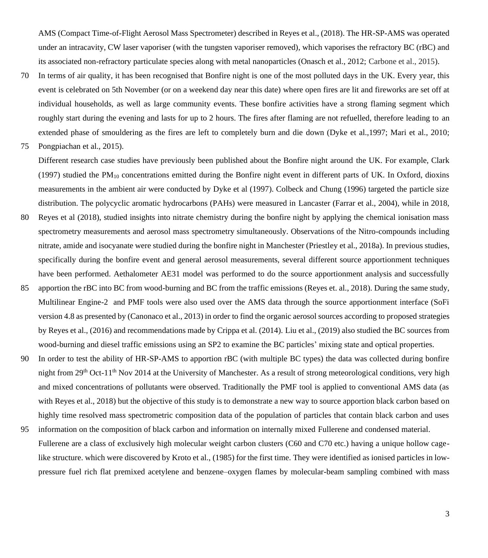AMS (Compact Time-of-Flight Aerosol Mass Spectrometer) described in Reyes et al., (2018). The HR-SP-AMS was operated under an intracavity, CW laser vaporiser (with the tungsten vaporiser removed), which vaporises the refractory BC (rBC) and its associated non-refractory particulate species along with metal nanoparticles (Onasch et al., 2012; Carbone et al., 2015).

70 In terms of air quality, it has been recognised that Bonfire night is one of the most polluted days in the UK. Every year, this event is celebrated on 5th November (or on a weekend day near this date) where open fires are lit and fireworks are set off at individual households, as well as large community events. These bonfire activities have a strong flaming segment which roughly start during the evening and lasts for up to 2 hours. The fires after flaming are not refuelled, therefore leading to an extended phase of smouldering as the fires are left to completely burn and die down (Dyke et al.,1997; Mari et al., 2010;

75 Pongpiachan et al., 2015).

Different research case studies have previously been published about the Bonfire night around the UK. For example, Clark (1997) studied the  $PM_{10}$  concentrations emitted during the Bonfire night event in different parts of UK. In Oxford, dioxins measurements in the ambient air were conducted by Dyke et al (1997). Colbeck and Chung (1996) targeted the particle size distribution. The polycyclic aromatic hydrocarbons (PAHs) were measured in Lancaster (Farrar et al., 2004), while in 2018,

- 80 Reyes et al (2018), studied insights into nitrate chemistry during the bonfire night by applying the chemical ionisation mass spectrometry measurements and aerosol mass spectrometry simultaneously. Observations of the Nitro-compounds including nitrate, amide and isocyanate were studied during the bonfire night in Manchester (Priestley et al., 2018a). In previous studies, specifically during the bonfire event and general aerosol measurements, several different source apportionment techniques have been performed. Aethalometer AE31 model was performed to do the source apportionment analysis and successfully
- 85 apportion the rBC into BC from wood-burning and BC from the traffic emissions (Reyes et. al., 2018). During the same study, Multilinear Engine-2 and PMF tools were also used over the AMS data through the source apportionment interface (SoFi version 4.8 as presented by (Canonaco et al., 2013) in order to find the organic aerosol sources according to proposed strategies by Reyes et al., (2016) and recommendations made by Crippa et al. (2014). Liu et al., (2019) also studied the BC sources from wood-burning and diesel traffic emissions using an SP2 to examine the BC particles' mixing state and optical properties.
- 90 In order to test the ability of HR-SP-AMS to apportion rBC (with multiple BC types) the data was collected during bonfire night from  $29<sup>th</sup>$  Oct-11<sup>th</sup> Nov 2014 at the University of Manchester. As a result of strong meteorological conditions, very high and mixed concentrations of pollutants were observed. Traditionally the PMF tool is applied to conventional AMS data (as with Reyes et al., 2018) but the objective of this study is to demonstrate a new way to source apportion black carbon based on highly time resolved mass spectrometric composition data of the population of particles that contain black carbon and uses
- 95 information on the composition of black carbon and information on internally mixed Fullerene and condensed material. Fullerene are a class of exclusively high molecular weight carbon clusters (C60 and C70 etc.) having a unique hollow cagelike structure. which were discovered by Kroto et al., (1985) for the first time. They were identified as ionised particles in lowpressure fuel rich flat premixed acetylene and benzene–oxygen flames by molecular-beam sampling combined with mass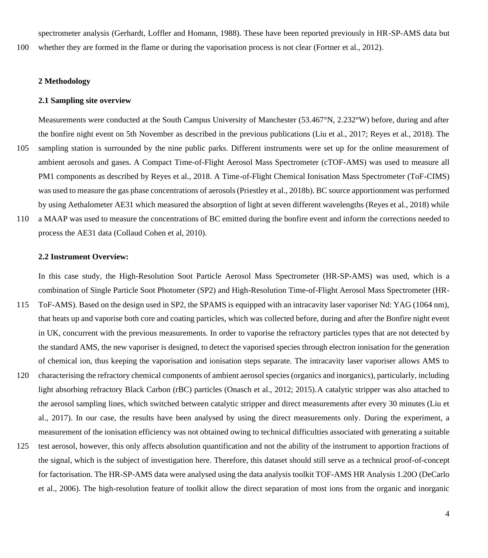spectrometer analysis (Gerhardt, Loffler and Homann, 1988). These have been reported previously in HR-SP-AMS data but

100 whether they are formed in the flame or during the vaporisation process is not clear (Fortner et al., 2012).

# **2 Methodology**

## **2.1 Sampling site overview**

Measurements were conducted at the South Campus University of Manchester (53.467°N, 2.232°W) before, during and after the bonfire night event on 5th November as described in the previous publications (Liu et al., 2017; Reyes et al., 2018). The 105 sampling station is surrounded by the nine public parks. Different instruments were set up for the online measurement of ambient aerosols and gases. A Compact Time-of-Flight Aerosol Mass Spectrometer (cTOF-AMS) was used to measure all PM1 components as described by Reyes et al., 2018. A Time-of-Flight Chemical Ionisation Mass Spectrometer (ToF-CIMS) was used to measure the gas phase concentrations of aerosols (Priestley et al., 2018b). BC source apportionment was performed by using Aethalometer AE31 which measured the absorption of light at seven different wavelengths (Reyes et al., 2018) while

110 a MAAP was used to measure the concentrations of BC emitted during the bonfire event and inform the corrections needed to process the AE31 data (Collaud Cohen et al, 2010).

## **2.2 Instrument Overview:**

In this case study, the High-Resolution Soot Particle Aerosol Mass Spectrometer (HR-SP-AMS) was used, which is a combination of Single Particle Soot Photometer (SP2) and High-Resolution Time-of-Flight Aerosol Mass Spectrometer (HR-115 ToF-AMS). Based on the design used in SP2, the SPAMS is equipped with an intracavity laser vaporiser Nd: YAG (1064 nm), that heats up and vaporise both core and coating particles, which was collected before, during and after the Bonfire night event in UK, concurrent with the previous measurements. In order to vaporise the refractory particles types that are not detected by the standard AMS, the new vaporiser is designed, to detect the vaporised species through electron ionisation for the generation of chemical ion, thus keeping the vaporisation and ionisation steps separate. The intracavity laser vaporiser allows AMS to 120 characterising the refractory chemical components of ambient aerosol species (organics and inorganics), particularly, including light absorbing refractory Black Carbon (rBC) particles (Onasch et al., 2012; 2015).A catalytic stripper was also attached to the aerosol sampling lines, which switched between catalytic stripper and direct measurements after every 30 minutes (Liu et al., 2017). In our case, the results have been analysed by using the direct measurements only. During the experiment, a measurement of the ionisation efficiency was not obtained owing to technical difficulties associated with generating a suitable

125 test aerosol, however, this only affects absolution quantification and not the ability of the instrument to apportion fractions of the signal, which is the subject of investigation here. Therefore, this dataset should still serve as a technical proof-of-concept for factorisation. The HR-SP-AMS data were analysed using the data analysis toolkit TOF-AMS HR Analysis 1.20O (DeCarlo et al., 2006). The high-resolution feature of toolkit allow the direct separation of most ions from the organic and inorganic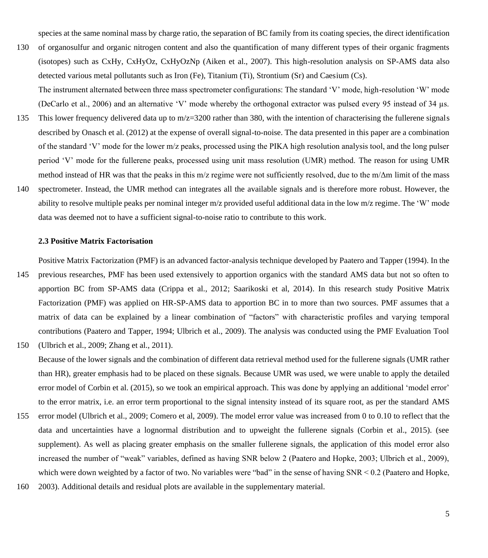species at the same nominal mass by charge ratio, the separation of BC family from its coating species, the direct identification

- 130 of organosulfur and organic nitrogen content and also the quantification of many different types of their organic fragments (isotopes) such as CxHy, CxHyOz, CxHyOzNp (Aiken et al., 2007). This high-resolution analysis on SP-AMS data also detected various metal pollutants such as Iron (Fe), Titanium (Ti), Strontium (Sr) and Caesium (Cs).
- The instrument alternated between three mass spectrometer configurations: The standard 'V' mode, high-resolution 'W' mode (DeCarlo et al., 2006) and an alternative 'V' mode whereby the orthogonal extractor was pulsed every 95 instead of 34 µs. 135 This lower frequency delivered data up to m/z=3200 rather than 380, with the intention of characterising the fullerene signals described by Onasch et al. (2012) at the expense of overall signal-to-noise. The data presented in this paper are a combination of the standard 'V' mode for the lower m/z peaks, processed using the PIKA high resolution analysis tool, and the long pulser period 'V' mode for the fullerene peaks, processed using unit mass resolution (UMR) method. The reason for using UMR method instead of HR was that the peaks in this m/z regime were not sufficiently resolved, due to the m/Δm limit of the mass
- 140 spectrometer. Instead, the UMR method can integrates all the available signals and is therefore more robust. However, the ability to resolve multiple peaks per nominal integer m/z provided useful additional data in the low m/z regime. The 'W' mode data was deemed not to have a sufficient signal-to-noise ratio to contribute to this work.

#### **2.3 Positive Matrix Factorisation**

Positive Matrix Factorization (PMF) is an advanced factor-analysis technique developed by Paatero and Tapper (1994). In the

145 previous researches, PMF has been used extensively to apportion organics with the standard AMS data but not so often to apportion BC from SP-AMS data (Crippa et al., 2012; Saarikoski et al, 2014). In this research study Positive Matrix Factorization (PMF) was applied on HR-SP-AMS data to apportion BC in to more than two sources. PMF assumes that a matrix of data can be explained by a linear combination of "factors" with characteristic profiles and varying temporal contributions (Paatero and Tapper, 1994; Ulbrich et al., 2009). The analysis was conducted using the PMF Evaluation Tool 150 (Ulbrich et al., 2009; Zhang et al., 2011).

Because of the lower signals and the combination of different data retrieval method used for the fullerene signals (UMR rather than HR), greater emphasis had to be placed on these signals. Because UMR was used, we were unable to apply the detailed error model of Corbin et al. (2015), so we took an empirical approach. This was done by applying an additional 'model error' to the error matrix, i.e. an error term proportional to the signal intensity instead of its square root, as per the standard AMS

- 155 error model (Ulbrich et al., 2009; Comero et al, 2009). The model error value was increased from 0 to 0.10 to reflect that the data and uncertainties have a lognormal distribution and to upweight the fullerene signals (Corbin et al., 2015). (see supplement). As well as placing greater emphasis on the smaller fullerene signals, the application of this model error also increased the number of "weak" variables, defined as having SNR below 2 (Paatero and Hopke, 2003; Ulbrich et al., 2009), which were down weighted by a factor of two. No variables were "bad" in the sense of having SNR < 0.2 (Paatero and Hopke,
- 160 2003). Additional details and residual plots are available in the supplementary material.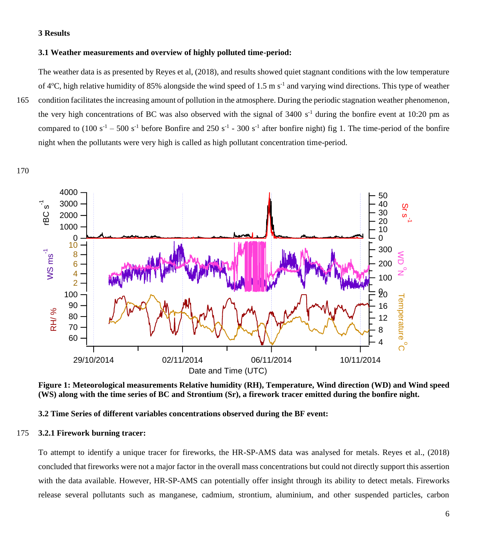# **Results**

# **3.1 Weather measurements and overview of highly polluted time-period:**

The weather data is as presented by Reyes et al, (2018), and results showed quiet stagnant conditions with the low temperature of  $4^{\circ}$ C, high relative humidity of 85% alongside the wind speed of 1.5 m s<sup>-1</sup> and varying wind directions. This type of weather

 condition facilitates the increasing amount of pollution in the atmosphere. During the periodic stagnation weather phenomenon, the very high concentrations of BC was also observed with the signal of  $3400 \text{ s}^{-1}$  during the bonfire event at 10:20 pm as compared to  $(100 \text{ s}^{-1} - 500 \text{ s}^{-1})$  before Bonfire and  $250 \text{ s}^{-1} - 300 \text{ s}^{-1}$  after bonfire night) fig 1. The time-period of the bonfire night when the pollutants were very high is called as high pollutant concentration time-period.



**Figure 1: Meteorological measurements Relative humidity (RH), Temperature, Wind direction (WD) and Wind speed (WS) along with the time series of BC and Strontium (Sr), a firework tracer emitted during the bonfire night.**

**3.2 Time Series of different variables concentrations observed during the BF event:**

# **3.2.1 Firework burning tracer:**

To attempt to identify a unique tracer for fireworks, the HR-SP-AMS data was analysed for metals. Reyes et al., (2018) concluded that fireworks were not a major factor in the overall mass concentrations but could not directly support this assertion with the data available. However, HR-SP-AMS can potentially offer insight through its ability to detect metals. Fireworks release several pollutants such as manganese, cadmium, strontium, aluminium, and other suspended particles, carbon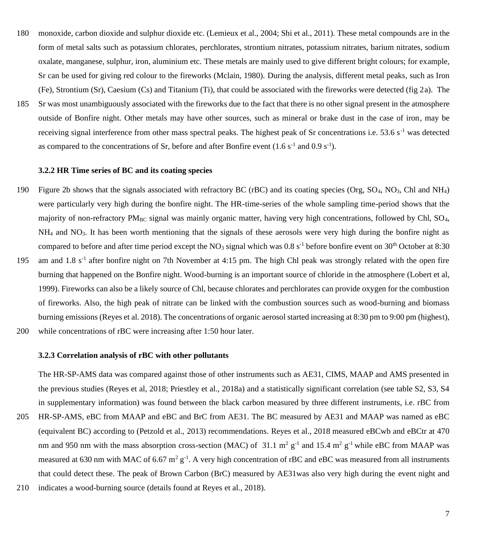180 monoxide, carbon dioxide and sulphur dioxide etc. (Lemieux et al., 2004; Shi et al., 2011). These metal compounds are in the form of metal salts such as potassium chlorates, perchlorates, strontium nitrates, potassium nitrates, barium nitrates, sodium oxalate, manganese, sulphur, iron, aluminium etc. These metals are mainly used to give different bright colours; for example, Sr can be used for giving red colour to the fireworks (Mclain, 1980). During the analysis, different metal peaks, such as Iron (Fe), Strontium (Sr), Caesium (Cs) and Titanium (Ti), that could be associated with the fireworks were detected (fig 2a). The 185 Sr was most unambiguously associated with the fireworks due to the fact that there is no other signal present in the atmosphere outside of Bonfire night. Other metals may have other sources, such as mineral or brake dust in the case of iron, may be receiving signal interference from other mass spectral peaks. The highest peak of Sr concentrations i.e. 53.6 s<sup>-1</sup> was detected as compared to the concentrations of Sr, before and after Bonfire event  $(1.6 \text{ s}^{-1} \text{ and } 0.9 \text{ s}^{-1})$ .

#### **3.2.2 HR Time series of BC and its coating species**

- 190 Figure 2b shows that the signals associated with refractory BC (rBC) and its coating species (Org,  $SO_4$ , NO<sub>3</sub>, Chl and NH<sub>4</sub>) were particularly very high during the bonfire night. The HR-time-series of the whole sampling time-period shows that the majority of non-refractory  $PM_{BC}$  signal was mainly organic matter, having very high concentrations, followed by Chl,  $SO<sub>4</sub>$ ,  $NH<sub>4</sub>$  and NO<sub>3</sub>. It has been worth mentioning that the signals of these aerosols were very high during the bonfire night as compared to before and after time period except the NO<sub>3</sub> signal which was  $0.8 \text{ s}^{-1}$  before bonfire event on 30<sup>th</sup> October at 8:30
- 195 am and 1.8  $s^{-1}$  after bonfire night on 7th November at 4:15 pm. The high Chl peak was strongly related with the open fire burning that happened on the Bonfire night. Wood-burning is an important source of chloride in the atmosphere (Lobert et al, 1999). Fireworks can also be a likely source of Chl, because chlorates and perchlorates can provide oxygen for the combustion of fireworks. Also, the high peak of nitrate can be linked with the combustion sources such as wood-burning and biomass burning emissions (Reyes et al. 2018). The concentrations of organic aerosol started increasing at 8:30 pm to 9:00 pm (highest), 200 while concentrations of rBC were increasing after 1:50 hour later.
- 

# **3.2.3 Correlation analysis of rBC with other pollutants**

The HR-SP-AMS data was compared against those of other instruments such as AE31, CIMS, MAAP and AMS presented in the previous studies (Reyes et al, 2018; Priestley et al., 2018a) and a statistically significant correlation (see table S2, S3, S4 in supplementary information) was found between the black carbon measured by three different instruments, i.e. rBC from 205 HR-SP-AMS, eBC from MAAP and eBC and BrC from AE31. The BC measured by AE31 and MAAP was named as eBC (equivalent BC) according to (Petzold et al., 2013) recommendations. Reyes et al., 2018 measured eBCwb and eBCtr at 470 nm and 950 nm with the mass absorption cross-section (MAC) of 31.1  $m^2 g^{-1}$  and 15.4  $m^2 g^{-1}$  while eBC from MAAP was measured at 630 nm with MAC of 6.67  $m^2 g^{-1}$ . A very high concentration of rBC and eBC was measured from all instruments that could detect these. The peak of Brown Carbon (BrC) measured by AE31was also very high during the event night and 210 indicates a wood-burning source (details found at Reyes et al., 2018).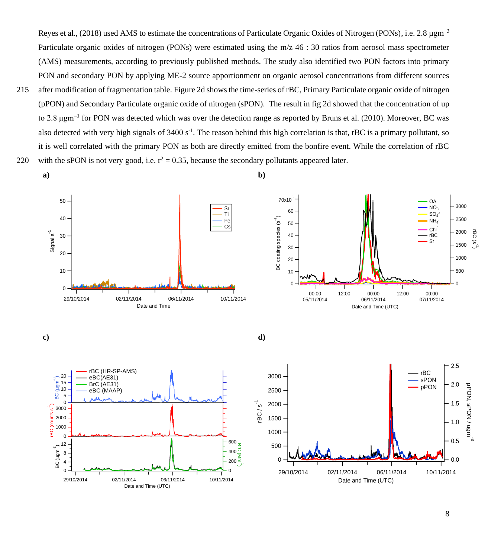Reyes et al., (2018) used AMS to estimate the concentrations of Particulate Organic Oxides of Nitrogen (PONs), i.e. 2.8 µgm−3 Particulate organic oxides of nitrogen (PONs) were estimated using the m/z 46 : 30 ratios from aerosol mass spectrometer (AMS) measurements, according to previously published methods. The study also identified two PON factors into primary PON and secondary PON by applying ME-2 source apportionment on organic aerosol concentrations from different sources

215 after modification of fragmentation table. Figure 2d shows the time-series of rBC, Primary Particulate organic oxide of nitrogen (pPON) and Secondary Particulate organic oxide of nitrogen (sPON). The result in fig 2d showed that the concentration of up to 2.8 μgm−3 for PON was detected which was over the detection range as reported by Bruns et al. (2010). Moreover, BC was also detected with very high signals of  $3400 s<sup>-1</sup>$ . The reason behind this high correlation is that, rBC is a primary pollutant, so it is well correlated with the primary PON as both are directly emitted from the bonfire event. While the correlation of rBC 220 with the sPON is not very good, i.e.  $r^2 = 0.35$ , because the secondary pollutants appeared later.

**a) b)**





**c) d)**





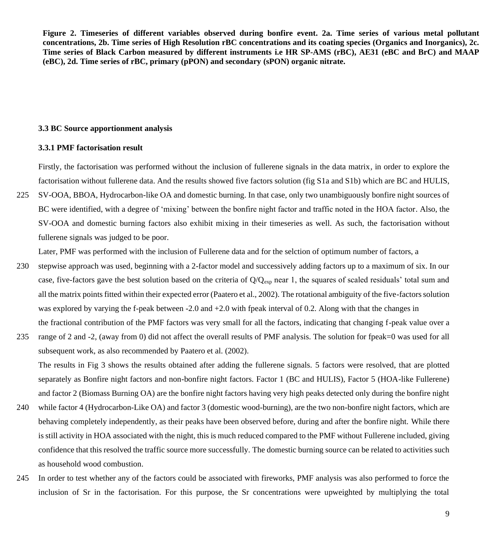**Figure 2. Timeseries of different variables observed during bonfire event. 2a. Time series of various metal pollutant concentrations, 2b. Time series of High Resolution rBC concentrations and its coating species (Organics and Inorganics), 2c. Time series of Black Carbon measured by different instruments i.e HR SP-AMS (rBC), AE31 (eBC and BrC) and MAAP (eBC), 2d. Time series of rBC, primary (pPON) and secondary (sPON) organic nitrate.**

#### **3.3 BC Source apportionment analysis**

# **3.3.1 PMF factorisation result**

Firstly, the factorisation was performed without the inclusion of fullerene signals in the data matrix, in order to explore the factorisation without fullerene data. And the results showed five factors solution (fig S1a and S1b) which are BC and HULIS,

225 SV-OOA, BBOA, Hydrocarbon-like OA and domestic burning. In that case, only two unambiguously bonfire night sources of BC were identified, with a degree of 'mixing' between the bonfire night factor and traffic noted in the HOA factor. Also, the SV-OOA and domestic burning factors also exhibit mixing in their timeseries as well. As such, the factorisation without fullerene signals was judged to be poor.

Later, PMF was performed with the inclusion of Fullerene data and for the selction of optimum number of factors, a

- 230 stepwise approach was used, beginning with a 2-factor model and successively adding factors up to a maximum of six. In our case, five-factors gave the best solution based on the criteria of  $Q/Q_{exp}$  near 1, the squares of scaled residuals' total sum and all the matrix points fitted within their expected error (Paatero et al., 2002). The rotational ambiguity of the five-factors solution was explored by varying the f-peak between -2.0 and  $+2.0$  with fpeak interval of 0.2. Along with that the changes in the fractional contribution of the PMF factors was very small for all the factors, indicating that changing f-peak value over a
- 235 range of 2 and -2, (away from 0) did not affect the overall results of PMF analysis. The solution for fpeak=0 was used for all subsequent work, as also recommended by Paatero et al. (2002).

The results in Fig 3 shows the results obtained after adding the fullerene signals. 5 factors were resolved, that are plotted separately as Bonfire night factors and non-bonfire night factors. Factor 1 (BC and HULIS), Factor 5 (HOA-like Fullerene) and factor 2 (Biomass Burning OA) are the bonfire night factors having very high peaks detected only during the bonfire night

- 240 while factor 4 (Hydrocarbon-Like OA) and factor 3 (domestic wood-burning), are the two non-bonfire night factors, which are behaving completely independently, as their peaks have been observed before, during and after the bonfire night. While there is still activity in HOA associated with the night, this is much reduced compared to the PMF without Fullerene included, giving confidence that this resolved the traffic source more successfully. The domestic burning source can be related to activities such as household wood combustion.
- 245 In order to test whether any of the factors could be associated with fireworks, PMF analysis was also performed to force the inclusion of Sr in the factorisation. For this purpose, the Sr concentrations were upweighted by multiplying the total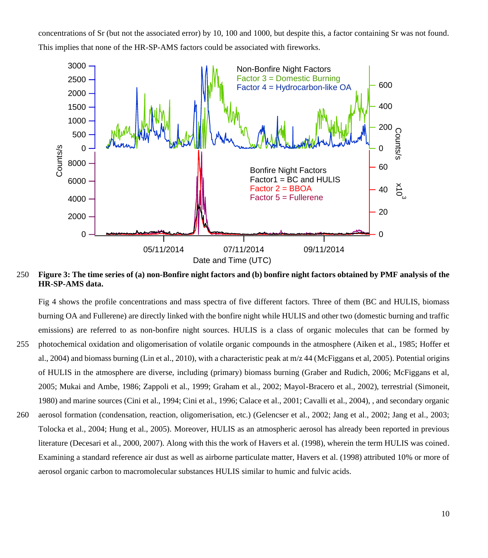concentrations of Sr (but not the associated error) by 10, 100 and 1000, but despite this, a factor containing Sr was not found. This implies that none of the HR-SP-AMS factors could be associated with fireworks.



250 **Figure 3: The time series of (a) non-Bonfire night factors and (b) bonfire night factors obtained by PMF analysis of the HR-SP-AMS data.** 

Fig 4 shows the profile concentrations and mass spectra of five different factors. Three of them (BC and HULIS, biomass burning OA and Fullerene) are directly linked with the bonfire night while HULIS and other two (domestic burning and traffic emissions) are referred to as non-bonfire night sources. HULIS is a class of organic molecules that can be formed by 255 photochemical oxidation and oligomerisation of volatile organic compounds in the atmosphere (Aiken et al., 1985; Hoffer et al., 2004) and biomass burning (Lin et al., 2010), with a characteristic peak at  $m/z$  44 (McFiggans et al. 2005). Potential origins of HULIS in the atmosphere are diverse, including (primary) biomass burning (Graber and Rudich, 2006; McFiggans et al, 2005; Mukai and Ambe, 1986; Zappoli et al., 1999; Graham et al., 2002; Mayol-Bracero et al., 2002), terrestrial (Simoneit, 1980) and marine sources (Cini et al., 1994; Cini et al., 1996; Calace et al., 2001; Cavalli et al., 2004), , and secondary organic 260 aerosol formation (condensation, reaction, oligomerisation, etc.) (Gelencser et al., 2002; Jang et al., 2002; Jang et al., 2003; Tolocka et al., 2004; Hung et al., 2005). Moreover, HULIS as an atmospheric aerosol has already been reported in previous literature (Decesari et al., 2000, 2007). Along with this the work of Havers et al. (1998), wherein the term HULIS was coined. Examining a standard reference air dust as well as airborne particulate matter, Havers et al. (1998) attributed 10% or more of aerosol organic carbon to macromolecular substances HULIS similar to humic and fulvic acids.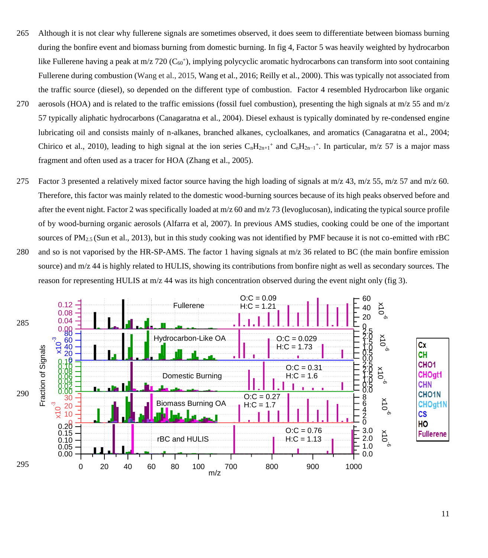- 265 Although it is not clear why fullerene signals are sometimes observed, it does seem to differentiate between biomass burning during the bonfire event and biomass burning from domestic burning. In fig 4, Factor 5 was heavily weighted by hydrocarbon like Fullerene having a peak at m/z 720 ( $C_{60}$ +), implying polycyclic aromatic hydrocarbons can transform into soot containing Fullerene during combustion (Wang et al., 2015, Wang et al., 2016; Reilly et al., 2000). This was typically not associated from the traffic source (diesel), so depended on the different type of combustion. Factor 4 resembled Hydrocarbon like organic
- 270 aerosols (HOA) and is related to the traffic emissions (fossil fuel combustion), presenting the high signals at  $m/z$  55 and  $m/z$ 57 typically aliphatic hydrocarbons (Canagaratna et al., 2004). Diesel exhaust is typically dominated by re-condensed engine lubricating oil and consists mainly of n-alkanes, branched alkanes, cycloalkanes, and aromatics (Canagaratna et al., 2004; Chirico et al., 2010), leading to high signal at the ion series  $C_nH_{2n+1}$ <sup>+</sup> and  $C_nH_{2n-1}$ <sup>+</sup>. In particular, m/z 57 is a major mass fragment and often used as a tracer for HOA (Zhang et al., 2005).
- 275 Factor 3 presented a relatively mixed factor source having the high loading of signals at  $m/z$  43,  $m/z$  55,  $m/z$  57 and  $m/z$  60. Therefore, this factor was mainly related to the domestic wood-burning sources because of its high peaks observed before and after the event night. Factor 2 was specifically loaded at  $m/z$  60 and  $m/z$  73 (levoglucosan), indicating the typical source profile of by wood-burning organic aerosols (Alfarra et al, 2007). In previous AMS studies, cooking could be one of the important sources of  $PM_{2.5}$  (Sun et al., 2013), but in this study cooking was not identified by PMF because it is not co-emitted with rBC 280 and so is not vaporised by the HR-SP-AMS. The factor 1 having signals at m/z 36 related to BC (the main bonfire emission source) and m/z 44 is highly related to HULIS, showing its contributions from bonfire night as well as secondary sources. The

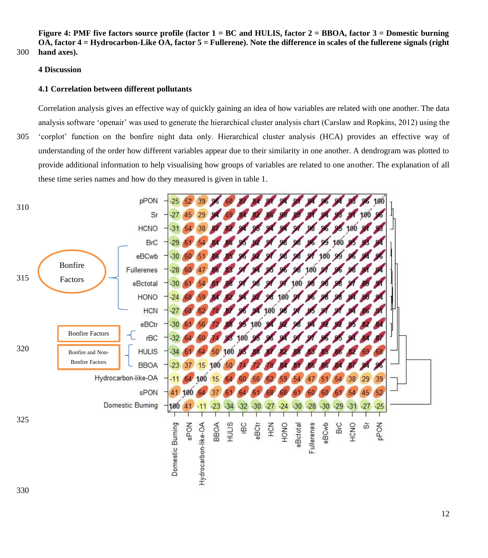**Figure 4: PMF five factors source profile (factor 1 = BC and HULIS, factor 2 = BBOA, factor 3 = Domestic burning OA, factor 4 = Hydrocarbon-Like OA, factor 5 = Fullerene). Note the difference in scales of the fullerene signals (right**  300 **hand axes).**

### **4 Discussion**

## **4.1 Correlation between different pollutants**

Correlation analysis gives an effective way of quickly gaining an idea of how variables are related with one another. The data analysis software 'openair' was used to generate the hierarchical cluster analysis chart (Carslaw and Ropkins, 2012) using the 305 'corplot' function on the bonfire night data only. Hierarchical cluster analysis (HCA) provides an effective way of understanding of the order how different variables appear due to their similarity in one another. A dendrogram was plotted to provide additional information to help visualising how groups of variables are related to one another. The explanation of all these time series names and how do they measured is given in table 1.

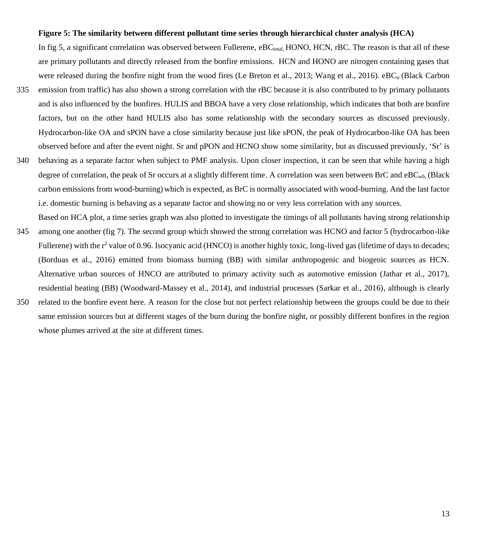#### **Figure 5: The similarity between different pollutant time series through hierarchical cluster analysis (HCA)**

In fig 5, a significant correlation was observed between Fullerene,  $eBC_{total}$ , HONO, HCN, rBC. The reason is that all of these are primary pollutants and directly released from the bonfire emissions. HCN and HONO are nitrogen containing gases that were released during the bonfire night from the wood fires (Le Breton et al., 2013; Wang et al., 2016).  $eBC_{tr}$  (Black Carbon

- 335 emission from traffic) has also shown a strong correlation with the rBC because it is also contributed to by primary pollutants and is also influenced by the bonfires. HULIS and BBOA have a very close relationship, which indicates that both are bonfire factors, but on the other hand HULIS also has some relationship with the secondary sources as discussed previously. Hydrocarbon-like OA and sPON have a close similarity because just like sPON, the peak of Hydrocarbon-like OA has been observed before and after the event night. Sr and pPON and HCNO show some similarity, but as discussed previously, 'Sr' is
- 340 behaving as a separate factor when subject to PMF analysis. Upon closer inspection, it can be seen that while having a high degree of correlation, the peak of Sr occurs at a slightly different time. A correlation was seen between BrC and  $eBC_{wb}$  (Black carbon emissions from wood-burning) which is expected, as BrC is normally associated with wood-burning. And the last factor i.e. domestic burning is behaving as a separate factor and showing no or very less correlation with any sources.
- Based on HCA plot, a time series graph was also plotted to investigate the timings of all pollutants having strong relationship 345 among one another (fig 7). The second group which showed the strong correlation was HCNO and factor 5 (hydrocarbon-like Fullerene) with the  $r^2$  value of 0.96. Isocyanic acid (HNCO) is another highly toxic, long-lived gas (lifetime of days to decades; (Borduas et al., 2016) emitted from biomass burning (BB) with similar anthropogenic and biogenic sources as HCN. Alternative urban sources of HNCO are attributed to primary activity such as automotive emission (Jathar et al., 2017), residential heating (BB) (Woodward-Massey et al., 2014), and industrial processes (Sarkar et al., 2016), although is clearly
- 350 related to the bonfire event here. A reason for the close but not perfect relationship between the groups could be due to their same emission sources but at different stages of the burn during the bonfire night, or possibly different bonfires in the region whose plumes arrived at the site at different times.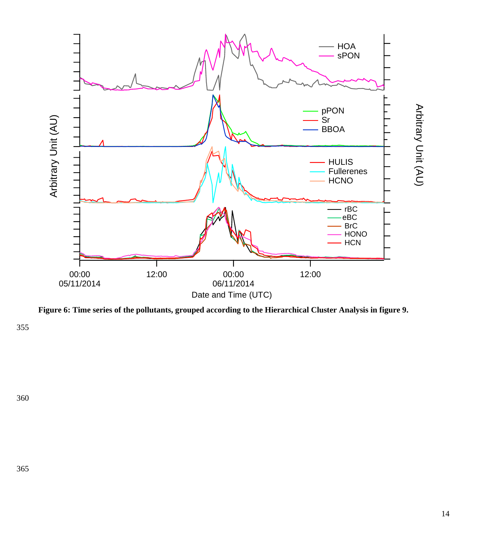

**Figure 6: Time series of the pollutants, grouped according to the Hierarchical Cluster Analysis in figure 9.**

355

360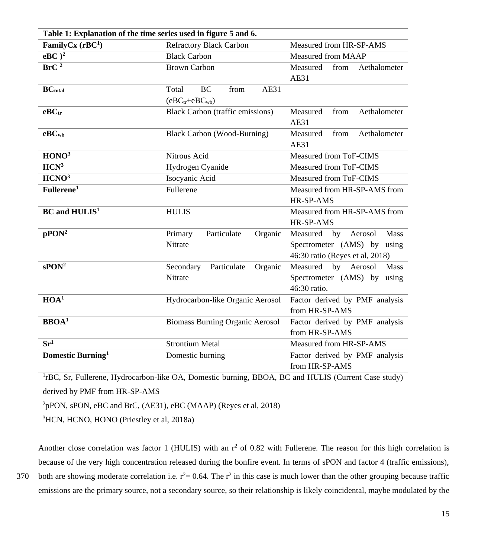| Table 1: Explanation of the time series used in figure 5 and 6. |                                         |                                  |
|-----------------------------------------------------------------|-----------------------------------------|----------------------------------|
| FamilyCx $(rBC1)$                                               | <b>Refractory Black Carbon</b>          | Measured from HR-SP-AMS          |
| $e\overline{BC}$ <sup>2</sup>                                   | <b>Black Carbon</b>                     | <b>Measured from MAAP</b>        |
| BrC <sup>2</sup>                                                | <b>Brown Carbon</b>                     | Measured<br>from<br>Aethalometer |
|                                                                 |                                         | AE31                             |
| <b>BC</b> total                                                 | <b>AE31</b><br>BC<br>from<br>Total      |                                  |
|                                                                 | $(eBCtr+eBCwb)$                         |                                  |
| $e$ B $Ctr$                                                     | <b>Black Carbon (traffic emissions)</b> | Measured<br>Aethalometer<br>from |
|                                                                 |                                         | AE31                             |
| $e$ B $C$ <sub>wb</sub>                                         | <b>Black Carbon (Wood-Burning)</b>      | Measured<br>from<br>Aethalometer |
|                                                                 |                                         | AE31                             |
| HONO <sup>3</sup>                                               | Nitrous Acid                            | Measured from ToF-CIMS           |
| HCN <sup>3</sup>                                                | Hydrogen Cyanide                        | Measured from ToF-CIMS           |
| HCNO <sup>3</sup>                                               | Isocyanic Acid                          | Measured from ToF-CIMS           |
| Fullerene <sup>1</sup>                                          | Fullerene                               | Measured from HR-SP-AMS from     |
|                                                                 |                                         | HR-SP-AMS                        |
| <b>BC</b> and HULIS <sup>1</sup>                                | <b>HULIS</b>                            | Measured from HR-SP-AMS from     |
|                                                                 |                                         | HR-SP-AMS                        |
| pPON <sup>2</sup>                                               | Particulate<br>Organic<br>Primary       | Mass<br>Measured by<br>Aerosol   |
|                                                                 | Nitrate                                 | Spectrometer (AMS) by using      |
|                                                                 |                                         | 46:30 ratio (Reyes et al, 2018)  |
| sPON <sup>2</sup>                                               | Particulate<br>Organic<br>Secondary     | Measured<br>by Aerosol<br>Mass   |
|                                                                 | Nitrate                                 | Spectrometer (AMS) by using      |
|                                                                 |                                         | 46:30 ratio.                     |
| HOA <sup>1</sup>                                                | Hydrocarbon-like Organic Aerosol        | Factor derived by PMF analysis   |
|                                                                 |                                         | from HR-SP-AMS                   |
| $\overline{\text{BBOA}^1}$                                      | <b>Biomass Burning Organic Aerosol</b>  | Factor derived by PMF analysis   |
|                                                                 |                                         | from HR-SP-AMS                   |
| $\overline{\mathbf{Sr}^1}$                                      | <b>Strontium Metal</b>                  | Measured from HR-SP-AMS          |
| Domestic Burning <sup>1</sup>                                   | Domestic burning                        | Factor derived by PMF analysis   |
|                                                                 |                                         | from HR-SP-AMS                   |

<sup>1</sup>rBC, Sr, Fullerene, Hydrocarbon-like OA, Domestic burning, BBOA, BC and HULIS (Current Case study) derived by PMF from HR-SP-AMS

<sup>2</sup>pPON, sPON, eBC and BrC, (AE31), eBC (MAAP) (Reyes et al, 2018)

<sup>3</sup>HCN, HCNO, HONO (Priestley et al, 2018a)

Another close correlation was factor 1 (HULIS) with an  $r^2$  of 0.82 with Fullerene. The reason for this high correlation is because of the very high concentration released during the bonfire event. In terms of sPON and factor 4 (traffic emissions), 370 both are showing moderate correlation i.e.  $r^2 = 0.64$ . The  $r^2$  in this case is much lower than the other grouping because traffic

emissions are the primary source, not a secondary source, so their relationship is likely coincidental, maybe modulated by the

15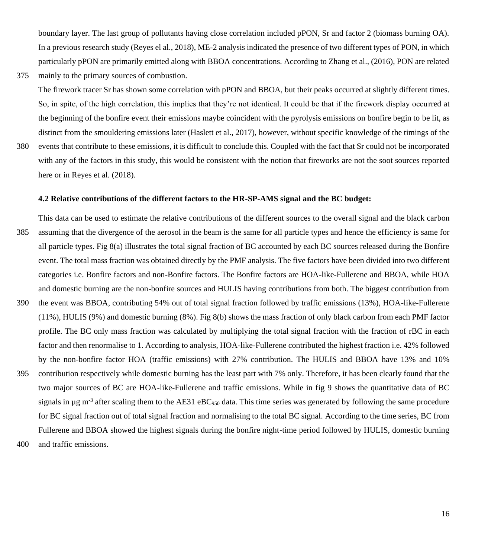boundary layer. The last group of pollutants having close correlation included pPON, Sr and factor 2 (biomass burning OA). In a previous research study (Reyes el al., 2018), ME-2 analysis indicated the presence of two different types of PON, in which particularly pPON are primarily emitted along with BBOA concentrations. According to Zhang et al., (2016), PON are related

375 mainly to the primary sources of combustion.

The firework tracer Sr has shown some correlation with pPON and BBOA, but their peaks occurred at slightly different times. So, in spite, of the high correlation, this implies that they're not identical. It could be that if the firework display occurred at the beginning of the bonfire event their emissions maybe coincident with the pyrolysis emissions on bonfire begin to be lit, as distinct from the smouldering emissions later (Haslett et al., 2017), however, without specific knowledge of the timings of the

380 events that contribute to these emissions, it is difficult to conclude this. Coupled with the fact that Sr could not be incorporated with any of the factors in this study, this would be consistent with the notion that fireworks are not the soot sources reported here or in Reyes et al. (2018).

# **4.2 Relative contributions of the different factors to the HR-SP-AMS signal and the BC budget:**

This data can be used to estimate the relative contributions of the different sources to the overall signal and the black carbon 385 assuming that the divergence of the aerosol in the beam is the same for all particle types and hence the efficiency is same for all particle types. Fig 8(a) illustrates the total signal fraction of BC accounted by each BC sources released during the Bonfire event. The total mass fraction was obtained directly by the PMF analysis. The five factors have been divided into two different categories i.e. Bonfire factors and non-Bonfire factors. The Bonfire factors are HOA-like-Fullerene and BBOA, while HOA and domestic burning are the non-bonfire sources and HULIS having contributions from both. The biggest contribution from 390 the event was BBOA, contributing 54% out of total signal fraction followed by traffic emissions (13%), HOA-like-Fullerene (11%), HULIS (9%) and domestic burning (8%). Fig 8(b) shows the mass fraction of only black carbon from each PMF factor profile. The BC only mass fraction was calculated by multiplying the total signal fraction with the fraction of rBC in each factor and then renormalise to 1. According to analysis, HOA-like-Fullerene contributed the highest fraction i.e. 42% followed by the non-bonfire factor HOA (traffic emissions) with 27% contribution. The HULIS and BBOA have 13% and 10% 395 contribution respectively while domestic burning has the least part with 7% only. Therefore, it has been clearly found that the two major sources of BC are HOA-like-Fullerene and traffic emissions. While in fig 9 shows the quantitative data of BC

signals in  $\mu$ g m<sup>-3</sup> after scaling them to the AE31 eBC<sub>950</sub> data. This time series was generated by following the same procedure for BC signal fraction out of total signal fraction and normalising to the total BC signal. According to the time series, BC from Fullerene and BBOA showed the highest signals during the bonfire night-time period followed by HULIS, domestic burning

400 and traffic emissions.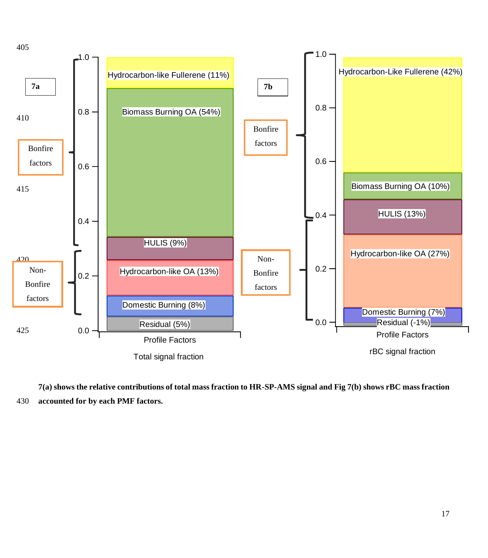

**7(a) shows the relative contributions of total mass fraction to HR-SP-AMS signal and Fig 7(b) shows rBC mass fraction**  430 **accounted for by each PMF factors.**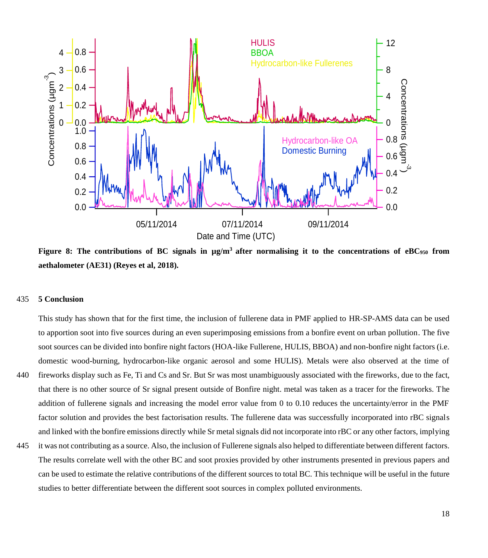

**Figure 8: The contributions of BC signals in µg/m<sup>3</sup>after normalising it to the concentrations of eBC<sup>950</sup> from aethalometer (AE31) (Reyes et al, 2018).**

# 435 **5 Conclusion**

This study has shown that for the first time, the inclusion of fullerene data in PMF applied to HR-SP-AMS data can be used to apportion soot into five sources during an even superimposing emissions from a bonfire event on urban pollution. The five soot sources can be divided into bonfire night factors (HOA-like Fullerene, HULIS, BBOA) and non-bonfire night factors (i.e. domestic wood-burning, hydrocarbon-like organic aerosol and some HULIS). Metals were also observed at the time of

- 440 fireworks display such as Fe, Ti and Cs and Sr. But Sr was most unambiguously associated with the fireworks, due to the fact, that there is no other source of Sr signal present outside of Bonfire night. metal was taken as a tracer for the fireworks. The addition of fullerene signals and increasing the model error value from 0 to 0.10 reduces the uncertainty/error in the PMF factor solution and provides the best factorisation results. The fullerene data was successfully incorporated into rBC signals and linked with the bonfire emissions directly while Sr metal signals did not incorporate into rBC or any other factors, implying
- 445 it was not contributing as a source. Also, the inclusion of Fullerene signals also helped to differentiate between different factors. The results correlate well with the other BC and soot proxies provided by other instruments presented in previous papers and can be used to estimate the relative contributions of the different sources to total BC. This technique will be useful in the future studies to better differentiate between the different soot sources in complex polluted environments.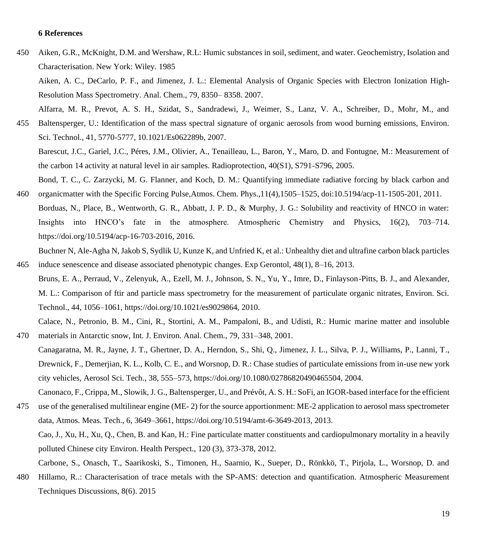# **6 References**

450 Aiken, G.R., McKnight, D.M. and Wershaw, R.L: Humic substances in soil, sediment, and water. Geochemistry, Isolation and Characterisation. New York: Wiley. 1985

Aiken, A. C., DeCarlo, P. F., and Jimenez, J. L.: Elemental Analysis of Organic Species with Electron Ionization High-Resolution Mass Spectrometry. Anal. Chem., 79, 8350– 8358. 2007.

Alfarra, M. R., Prevot, A. S. H., Szidat, S., Sandradewi, J., Weimer, S., Lanz, V. A., Schreiber, D., Mohr, M., and 455 Baltensperger, U.: Identification of the mass spectral signature of organic aerosols from wood burning emissions, Environ. Sci. Technol., 41, 5770-5777, 10.1021/Es062289b, 2007.

Barescut, J.C., Gariel, J.C., Péres, J.M., Olivier, A., Tenailleau, L., Baron, Y., Maro, D. and Fontugne, M.: Measurement of the carbon 14 activity at natural level in air samples. Radioprotection, 40(S1), S791-S796, 2005.

Bond, T. C., C. Zarzycki, M. G. Flanner, and Koch, D. M.: Quantifying immediate radiative forcing by black carbon and 460 organicmatter with the Specific Forcing Pulse,Atmos. Chem. Phys.,11(4),1505–1525, doi:10.5194/acp-11-1505-201, 2011.

Borduas, N., Place, B., Wentworth, G. R., Abbatt, J. P. D., & Murphy, J. G.: Solubility and reactivity of HNCO in water: Insights into HNCO's fate in the atmosphere. Atmospheric Chemistry and Physics, 16(2), 703–714. [https://doi.org/10.5194/acp-16-703-2016,](https://doi.org/10.5194/acp-16-703-2016) 2016.

Buchner N, Ale-Agha N, Jakob S, Sydlik U, Kunze K, and Unfried K, et al.: Unhealthy diet and ultrafine carbon black particles 465 induce senescence and disease associated phenotypic changes. Exp Gerontol, 48(1), 8–16, 2013.

Bruns, E. A., Perraud, V., Zelenyuk, A., Ezell, M. J., Johnson, S. N., Yu, Y., Imre, D., Finlayson-Pitts, B. J., and Alexander, M. L.: Comparison of ftir and particle mass spectrometry for the measurement of particulate organic nitrates, Environ. Sci. Technol., 44, 1056–1061, https://doi.org/10.1021/es9029864, 2010.

Calace, N., Petronio, B. M., Cini, R., Stortini, A. M., Pampaloni, B., and Udisti, R.: Humic marine matter and insoluble 470 materials in Antarctic snow, Int. J. Environ. Anal. Chem., 79, 331–348, 2001.

- Canagaratna, M. R., Jayne, J. T., Ghertner, D. A., Herndon, S., Shi, Q., Jimenez, J. L., Silva, P. J., Williams, P., Lanni, T., Drewnick, F., Demerjian, K. L., Kolb, C. E., and Worsnop, D. R.: Chase studies of particulate emissions from in-use new york city vehicles, Aerosol Sci. Tech., 38, 555–573, https://doi.org/10.1080/02786820490465504, 2004. Canonaco, F., Crippa, M., Slowik, J. G., Baltensperger, U., and Prévôt, A. S. H.: SoFi, an IGOR-based interface for the efficient
- 475 use of the generalised multilinear engine (ME- 2) for the source apportionment: ME-2 application to aerosol mass spectrometer data, Atmos. Meas. Tech., 6, 3649–3661, https://doi.org/10.5194/amt-6-3649-2013, 2013. Cao, J., Xu, H., Xu, Q., Chen, B. and Kan, H.: Fine particulate matter constituents and cardiopulmonary mortality in a heavily polluted Chinese city Environ. Health Perspect., 120 (3), 373-378, 2012.
- Carbone, S., Onasch, T., Saarikoski, S., Timonen, H., Saarnio, K., Sueper, D., Rönkkö, T., Pirjola, L., Worsnop, D. and 480 Hillamo, R..: Characterisation of trace metals with the SP-AMS: detection and quantification. Atmospheric Measurement Techniques Discussions, 8(6). 2015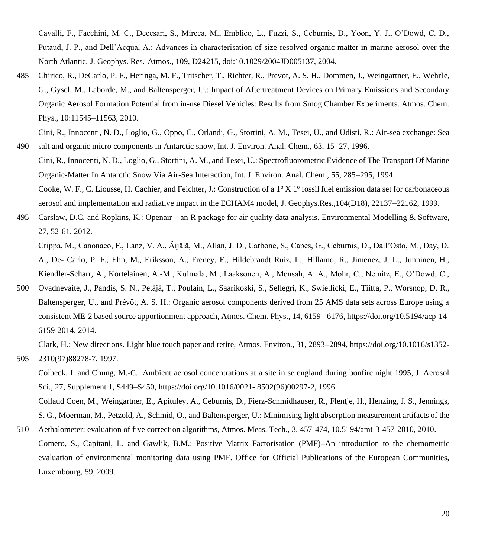Cavalli, F., Facchini, M. C., Decesari, S., Mircea, M., Emblico, L., Fuzzi, S., Ceburnis, D., Yoon, Y. J., O'Dowd, C. D., Putaud, J. P., and Dell'Acqua, A.: Advances in characterisation of size-resolved organic matter in marine aerosol over the North Atlantic, J. Geophys. Res.-Atmos., 109, D24215, doi:10.1029/2004JD005137, 2004.

485 Chirico, R., DeCarlo, P. F., Heringa, M. F., Tritscher, T., Richter, R., Prevot, A. S. H., Dommen, J., Weingartner, E., Wehrle, G., Gysel, M., Laborde, M., and Baltensperger, U.: Impact of Aftertreatment Devices on Primary Emissions and Secondary Organic Aerosol Formation Potential from in-use Diesel Vehicles: Results from Smog Chamber Experiments. Atmos. Chem. Phys., 10:11545–11563, 2010.

Cini, R., Innocenti, N. D., Loglio, G., Oppo, C., Orlandi, G., Stortini, A. M., Tesei, U., and Udisti, R.: Air-sea exchange: Sea 490 salt and organic micro components in Antarctic snow, Int. J. Environ. Anal. Chem., 63, 15–27, 1996.

- Cini, R., Innocenti, N. D., Loglio, G., Stortini, A. M., and Tesei, U.: Spectrofluorometric Evidence of The Transport Of Marine Organic-Matter In Antarctic Snow Via Air-Sea Interaction, Int. J. Environ. Anal. Chem., 55, 285–295, 1994. Cooke, W. F., C. Liousse, H. Cachier, and Feichter, J.: Construction of a  $1^{\circ}$  X  $1^{\circ}$  fossil fuel emission data set for carbonaceous aerosol and implementation and radiative impact in the ECHAM4 model, J. Geophys.Res.,104(D18), 22137–22162, 1999.
- 495 Carslaw, D.C. and Ropkins, K.: Openair—an R package for air quality data analysis. Environmental Modelling & Software, 27, 52-61, 2012.

Crippa, M., Canonaco, F., Lanz, V. A., Äijälä, M., Allan, J. D., Carbone, S., Capes, G., Ceburnis, D., Dall'Osto, M., Day, D. A., De- Carlo, P. F., Ehn, M., Eriksson, A., Freney, E., Hildebrandt Ruiz, L., Hillamo, R., Jimenez, J. L., Junninen, H., Kiendler-Scharr, A., Kortelainen, A.-M., Kulmala, M., Laaksonen, A., Mensah, A. A., Mohr, C., Nemitz, E., O'Dowd, C.,

500 Ovadnevaite, J., Pandis, S. N., Petäjä, T., Poulain, L., Saarikoski, S., Sellegri, K., Swietlicki, E., Tiitta, P., Worsnop, D. R., Baltensperger, U., and Prévôt, A. S. H.: Organic aerosol components derived from 25 AMS data sets across Europe using a consistent ME-2 based source apportionment approach, Atmos. Chem. Phys., 14, 6159– 6176, https://doi.org/10.5194/acp-14- 6159-2014, 2014.

Clark, H.: New directions. Light blue touch paper and retire, Atmos. Environ., 31, 2893–2894,<https://doi.org/10.1016/s1352-> 505 2310(97)88278-7, 1997.

Colbeck, I. and Chung, M.-C.: Ambient aerosol concentrations at a site in se england during bonfire night 1995, J. Aerosol Sci., 27, Supplement 1, S449–S450,<https://doi.org/10.1016/0021-> 8502(96)00297-2, 1996. Collaud Coen, M., Weingartner, E., Apituley, A., Ceburnis, D., Fierz-Schmidhauser, R., Flentje, H., Henzing, J. S., Jennings, S. G., Moerman, M., Petzold, A., Schmid, O., and Baltensperger, U.: Minimising light absorption measurement artifacts of the

510 Aethalometer: evaluation of five correction algorithms, Atmos. Meas. Tech., 3, 457-474, 10.5194/amt-3-457-2010, 2010. Comero, S., Capitani, L. and Gawlik, B.M.: Positive Matrix Factorisation (PMF)–An introduction to the chemometric evaluation of environmental monitoring data using PMF. Office for Official Publications of the European Communities, Luxembourg, 59, 2009.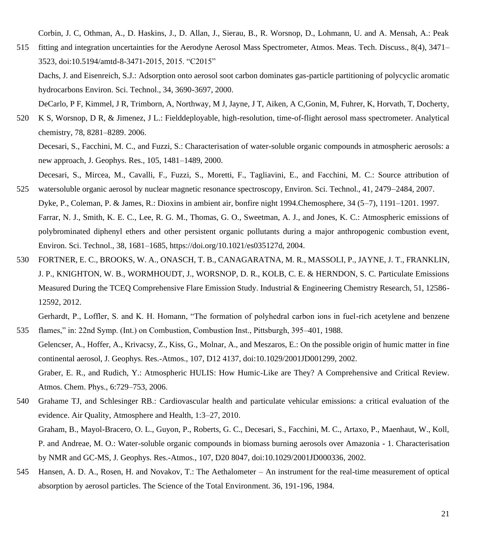Corbin, J. C, Othman, A., D. Haskins, J., D. Allan, J., Sierau, B., R. Worsnop, D., Lohmann, U. and A. Mensah, A.: Peak

515 fitting and integration uncertainties for the Aerodyne Aerosol Mass Spectrometer, Atmos. Meas. Tech. Discuss., 8(4), 3471– 3523, doi:10.5194/amtd-8-3471-2015, 2015. "C2015"

Dachs, J. and Eisenreich, S.J.: Adsorption onto aerosol soot carbon dominates gas-particle partitioning of polycyclic aromatic hydrocarbons Environ. Sci. Technol., 34, 3690-3697, 2000.

DeCarlo, P F, Kimmel, J R, Trimborn, A, Northway, M J, Jayne, J T, Aiken, A C,Gonin, M, Fuhrer, K, Horvath, T, Docherty,

520 K S, Worsnop, D R, & Jimenez, J L.: Fielddeployable, high-resolution, time-of-flight aerosol mass spectrometer. Analytical chemistry, 78, 8281–8289. 2006.

Decesari, S., Facchini, M. C., and Fuzzi, S.: Characterisation of water-soluble organic compounds in atmospheric aerosols: a new approach, J. Geophys. Res., 105, 1481–1489, 2000.

- Decesari, S., Mircea, M., Cavalli, F., Fuzzi, S., Moretti, F., Tagliavini, E., and Facchini, M. C.: Source attribution of 525 watersoluble organic aerosol by nuclear magnetic resonance spectroscopy, Environ. Sci. Technol., 41, 2479–2484, 2007.
- Dyke, P., Coleman, P. & James, R.: Dioxins in ambient air, bonfire night 1994.Chemosphere, 34 (5–7), 1191–1201. 1997. Farrar, N. J., Smith, K. E. C., Lee, R. G. M., Thomas, G. O., Sweetman, A. J., and Jones, K. C.: Atmospheric emissions of polybrominated diphenyl ethers and other persistent organic pollutants during a major anthropogenic combustion event, Environ. Sci. Technol., 38, 1681–1685, https://doi.org/10.1021/es035127d, 2004.
- 530 FORTNER, E. C., BROOKS, W. A., ONASCH, T. B., CANAGARATNA, M. R., MASSOLI, P., JAYNE, J. T., FRANKLIN, J. P., KNIGHTON, W. B., WORMHOUDT, J., WORSNOP, D. R., KOLB, C. E. & HERNDON, S. C. Particulate Emissions Measured During the TCEQ Comprehensive Flare Emission Study. Industrial & Engineering Chemistry Research, 51, 12586- 12592, 2012.

Gerhardt, P., Loffler, S. and K. H. Homann, "The formation of polyhedral carbon ions in fuel-rich acetylene and benzene

- 535 flames," in: 22nd Symp. (Int.) on Combustion, Combustion Inst., Pittsburgh, 395–401, 1988. Gelencser, A., Hoffer, A., Krivacsy, Z., Kiss, G., Molnar, A., and Meszaros, E.: On the possible origin of humic matter in fine continental aerosol, J. Geophys. Res.-Atmos., 107, D12 4137, doi:10.1029/2001JD001299, 2002. Graber, E. R., and Rudich, Y.: Atmospheric HULIS: How Humic-Like are They? A Comprehensive and Critical Review. Atmos. Chem. Phys., 6:729–753, 2006.
- 540 Grahame TJ, and Schlesinger RB.: Cardiovascular health and particulate vehicular emissions: a critical evaluation of the evidence. Air Quality, Atmosphere and Health, 1:3–27, 2010. Graham, B., Mayol-Bracero, O. L., Guyon, P., Roberts, G. C., Decesari, S., Facchini, M. C., Artaxo, P., Maenhaut, W., Koll, P. and Andreae, M. O.: Water-soluble organic compounds in biomass burning aerosols over Amazonia - 1. Characterisation by NMR and GC-MS, J. Geophys. Res.-Atmos., 107, D20 8047, doi:10.1029/2001JD000336, 2002.
- 545 Hansen, A. D. A., Rosen, H. and Novakov, T.: The Aethalometer An instrument for the real-time measurement of optical absorption by aerosol particles. The Science of the Total Environment. 36, 191-196, 1984.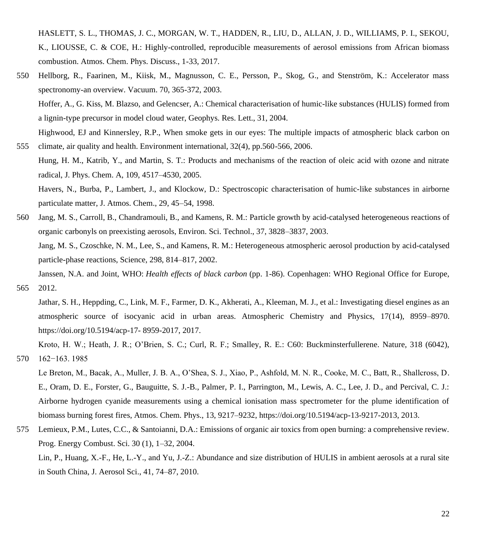HASLETT, S. L., THOMAS, J. C., MORGAN, W. T., HADDEN, R., LIU, D., ALLAN, J. D., WILLIAMS, P. I., SEKOU, K., LIOUSSE, C. & COE, H.: Highly-controlled, reproducible measurements of aerosol emissions from African biomass combustion. Atmos. Chem. Phys. Discuss., 1-33, 2017.

- 550 Hellborg, R., Faarinen, M., Kiisk, M., Magnusson, C. E., Persson, P., Skog, G., and Stenström, K.: Accelerator mass spectronomy-an overview. Vacuum. 70, 365-372, 2003. Hoffer, A., G. Kiss, M. Blazso, and Gelencser, A.: Chemical characterisation of humic-like substances (HULIS) formed from a lignin-type precursor in model cloud water, Geophys. Res. Lett., 31, 2004. Highwood, EJ and Kinnersley, R.P., When smoke gets in our eyes: The multiple impacts of atmospheric black carbon on
- 555 climate, air quality and health. Environment international, 32(4), pp.560-566, 2006. Hung, H. M., Katrib, Y., and Martin, S. T.: Products and mechanisms of the reaction of oleic acid with ozone and nitrate radical, J. Phys. Chem. A, 109, 4517–4530, 2005. Havers, N., Burba, P., Lambert, J., and Klockow, D.: Spectroscopic characterisation of humic-like substances in airborne particulate matter, J. Atmos. Chem., 29, 45–54, 1998.
- 560 Jang, M. S., Carroll, B., Chandramouli, B., and Kamens, R. M.: Particle growth by acid-catalysed heterogeneous reactions of organic carbonyls on preexisting aerosols, Environ. Sci. Technol., 37, 3828–3837, 2003. Jang, M. S., Czoschke, N. M., Lee, S., and Kamens, R. M.: Heterogeneous atmospheric aerosol production by acid-catalysed particle-phase reactions, Science, 298, 814–817, 2002. Janssen, N.A. and Joint, WHO: *Health effects of black carbon* (pp. 1-86). Copenhagen: WHO Regional Office for Europe,
- 565 2012.

Jathar, S. H., Heppding, C., Link, M. F., Farmer, D. K., Akherati, A., Kleeman, M. J., et al.: Investigating diesel engines as an atmospheric source of isocyanic acid in urban areas. Atmospheric Chemistry and Physics, 17(14), 8959–8970. https://doi.org/10.5194/acp-17- 8959-2017, 2017.

Kroto, H. W.; Heath, J. R.; O'Brien, S. C.; Curl, R. F.; Smalley, R. E.: C60: Buckminsterfullerene. Nature, 318 (6042), 570 162−163. 1985

Le Breton, M., Bacak, A., Muller, J. B. A., O'Shea, S. J., Xiao, P., Ashfold, M. N. R., Cooke, M. C., Batt, R., Shallcross, D. E., Oram, D. E., Forster, G., Bauguitte, S. J.-B., Palmer, P. I., Parrington, M., Lewis, A. C., Lee, J. D., and Percival, C. J.: Airborne hydrogen cyanide measurements using a chemical ionisation mass spectrometer for the plume identification of biomass burning forest fires, Atmos. Chem. Phys., 13, 9217–9232, https://doi.org/10.5194/acp-13-9217-2013, 2013.

575 Lemieux, P.M., Lutes, C.C., & Santoianni, D.A.: Emissions of organic air toxics from open burning: a comprehensive review. Prog. Energy Combust. Sci. 30 (1), 1–32, 2004.

Lin, P., Huang, X.-F., He, L.-Y., and Yu, J.-Z.: Abundance and size distribution of HULIS in ambient aerosols at a rural site in South China, J. Aerosol Sci., 41, 74–87, 2010.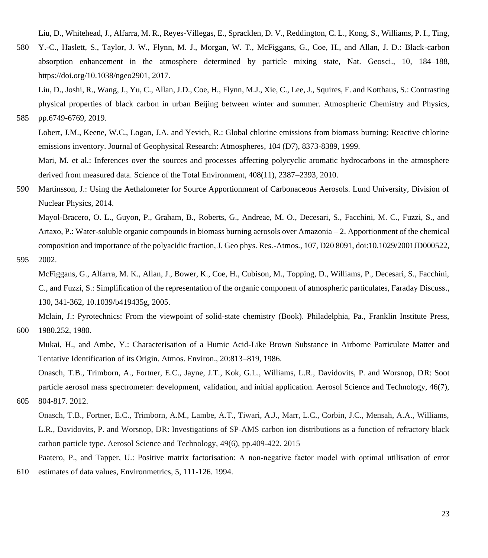Liu, D., Whitehead, J., Alfarra, M. R., Reyes-Villegas, E., Spracklen, D. V., Reddington, C. L., Kong, S., Williams, P. I., Ting,

580 Y.-C., Haslett, S., Taylor, J. W., Flynn, M. J., Morgan, W. T., McFiggans, G., Coe, H., and Allan, J. D.: Black-carbon absorption enhancement in the atmosphere determined by particle mixing state, Nat. Geosci., 10, 184–188, https://doi.org/10.1038/ngeo2901, 2017.

Liu, D., Joshi, R., Wang, J., Yu, C., Allan, J.D., Coe, H., Flynn, M.J., Xie, C., Lee, J., Squires, F. and Kotthaus, S.: Contrasting physical properties of black carbon in urban Beijing between winter and summer. Atmospheric Chemistry and Physics, 585 pp.6749-6769, 2019.

Lobert, J.M., Keene, W.C., Logan, J.A. and Yevich, R.: Global chlorine emissions from biomass burning: Reactive chlorine emissions inventory. Journal of Geophysical Research: Atmospheres, 104 (D7), 8373-8389, 1999. Mari, M. et al.: Inferences over the sources and processes affecting polycyclic aromatic hydrocarbons in the atmosphere

590 Martinsson, J.: Using the Aethalometer for Source Apportionment of Carbonaceous Aerosols. Lund University, Division of Nuclear Physics, 2014.

derived from measured data. Science of the Total Environment, 408(11), 2387–2393, 2010.

Mayol-Bracero, O. L., Guyon, P., Graham, B., Roberts, G., Andreae, M. O., Decesari, S., Facchini, M. C., Fuzzi, S., and Artaxo, P.: Water-soluble organic compounds in biomass burning aerosols over Amazonia – 2. Apportionment of the chemical composition and importance of the polyacidic fraction, J. Geo phys. Res.-Atmos., 107, D20 8091, doi:10.1029/2001JD000522,

595 2002.

McFiggans, G., Alfarra, M. K., Allan, J., Bower, K., Coe, H., Cubison, M., Topping, D., Williams, P., Decesari, S., Facchini, C., and Fuzzi, S.: Simplification of the representation of the organic component of atmospheric particulates, Faraday Discuss., 130, 341-362, 10.1039/b419435g, 2005.

Mclain, J.: Pyrotechnics: From the viewpoint of solid-state chemistry (Book). Philadelphia, Pa., Franklin Institute Press, 600 1980.252, 1980.

Mukai, H., and Ambe, Y.: Characterisation of a Humic Acid-Like Brown Substance in Airborne Particulate Matter and Tentative Identification of its Origin. Atmos. Environ., 20:813–819, 1986.

Onasch, T.B., Trimborn, A., Fortner, E.C., Jayne, J.T., Kok, G.L., Williams, L.R., Davidovits, P. and Worsnop, DR: Soot particle aerosol mass spectrometer: development, validation, and initial application. Aerosol Science and Technology, 46(7),

```
605 804-817. 2012.
```
Onasch, T.B., Fortner, E.C., Trimborn, A.M., Lambe, A.T., Tiwari, A.J., Marr, L.C., Corbin, J.C., Mensah, A.A., Williams, L.R., Davidovits, P. and Worsnop, DR: Investigations of SP-AMS carbon ion distributions as a function of refractory black carbon particle type. Aerosol Science and Technology, 49(6), pp.409-422. 2015

Paatero, P., and Tapper, U.: Positive matrix factorisation: A non-negative factor model with optimal utilisation of error 610 estimates of data values, Environmetrics, 5, 111-126. 1994.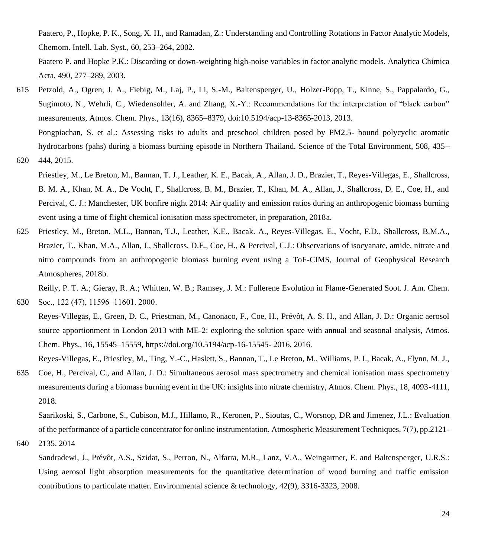Paatero, P., Hopke, P. K., Song, X. H., and Ramadan, Z.: Understanding and Controlling Rotations in Factor Analytic Models, Chemom. Intell. Lab. Syst., 60, 253–264, 2002.

Paatero P. and Hopke P.K.: Discarding or down-weighting high-noise variables in factor analytic models. Analytica Chimica Acta, 490, 277–289, 2003.

- 615 Petzold, A., Ogren, J. A., Fiebig, M., Laj, P., Li, S.-M., Baltensperger, U., Holzer-Popp, T., Kinne, S., Pappalardo, G., Sugimoto, N., Wehrli, C., Wiedensohler, A. and Zhang, X.-Y.: Recommendations for the interpretation of "black carbon" measurements, Atmos. Chem. Phys., 13(16), 8365–8379, doi:10.5194/acp-13-8365-2013, 2013. Pongpiachan, S. et al.: Assessing risks to adults and preschool children posed by PM2.5- bound polycyclic aromatic hydrocarbons (pahs) during a biomass burning episode in Northern Thailand. Science of the Total Environment, 508, 435–
- 620 444, 2015.
	- Priestley, M., Le Breton, M., Bannan, T. J., Leather, K. E., Bacak, A., Allan, J. D., Brazier, T., Reyes-Villegas, E., Shallcross, B. M. A., Khan, M. A., De Vocht, F., Shallcross, B. M., Brazier, T., Khan, M. A., Allan, J., Shallcross, D. E., Coe, H., and Percival, C. J.: Manchester, UK bonfire night 2014: Air quality and emission ratios during an anthropogenic biomass burning event using a time of flight chemical ionisation mass spectrometer, in preparation, 2018a.
- 625 Priestley, M., Breton, M.L., Bannan, T.J., Leather, K.E., Bacak. A., Reyes-Villegas. E., Vocht, F.D., Shallcross, B.M.A., Brazier, T., Khan, M.A., Allan, J., Shallcross, D.E., Coe, H., & Percival, C.J.: Observations of isocyanate, amide, nitrate and nitro compounds from an anthropogenic biomass burning event using a ToF-CIMS, Journal of Geophysical Research Atmospheres, 2018b.

Reilly, P. T. A.; Gieray, R. A.; Whitten, W. B.; Ramsey, J. M.: Fullerene Evolution in Flame-Generated Soot. J. Am. Chem. 630 Soc., 122 (47), 11596−11601. 2000.

Reyes-Villegas, E., Green, D. C., Priestman, M., Canonaco, F., Coe, H., Prévôt, A. S. H., and Allan, J. D.: Organic aerosol source apportionment in London 2013 with ME-2: exploring the solution space with annual and seasonal analysis, Atmos. Chem. Phys., 16, 15545–15559, https://doi.org/10.5194/acp-16-15545- 2016, 2016.

Reyes-Villegas, E., Priestley, M., Ting, Y.-C., Haslett, S., Bannan, T., Le Breton, M., Williams, P. I., Bacak, A., Flynn, M. J.,

635 Coe, H., Percival, C., and Allan, J. D.: Simultaneous aerosol mass spectrometry and chemical ionisation mass spectrometry measurements during a biomass burning event in the UK: insights into nitrate chemistry, Atmos. Chem. Phys., 18, 4093-4111, 2018.

Saarikoski, S., Carbone, S., Cubison, M.J., Hillamo, R., Keronen, P., Sioutas, C., Worsnop, DR and Jimenez, J.L.: Evaluation of the performance of a particle concentrator for online instrumentation. Atmospheric Measurement Techniques, 7(7), pp.2121-

640 2135. 2014

Sandradewi, J., Prévôt, A.S., Szidat, S., Perron, N., Alfarra, M.R., Lanz, V.A., Weingartner, E. and Baltensperger, U.R.S.: Using aerosol light absorption measurements for the quantitative determination of wood burning and traffic emission contributions to particulate matter. Environmental science & technology, 42(9), 3316-3323, 2008.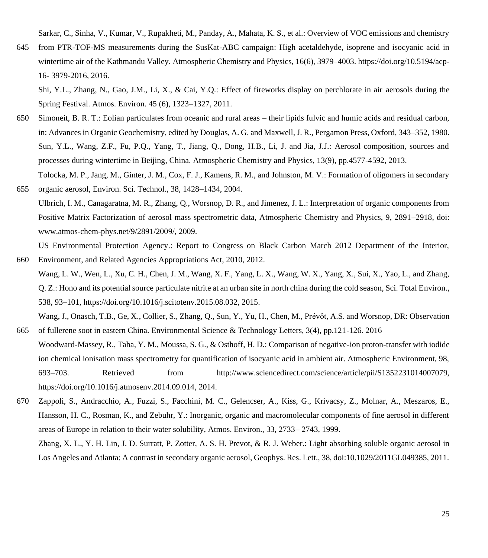Sarkar, C., Sinha, V., Kumar, V., Rupakheti, M., Panday, A., Mahata, K. S., et al.: Overview of VOC emissions and chemistry

645 from PTR-TOF-MS measurements during the SusKat-ABC campaign: High acetaldehyde, isoprene and isocyanic acid in wintertime air of the Kathmandu Valley. Atmospheric Chemistry and Physics, 16(6), 3979–4003. [https://doi.org/10.5194/acp-](https://doi.org/10.5194/acp-16-%203979-2016)16- [3979-2016,](https://doi.org/10.5194/acp-16-%203979-2016) 2016.

Shi, Y.L., Zhang, N., Gao, J.M., Li, X., & Cai, Y.Q.: Effect of fireworks display on perchlorate in air aerosols during the Spring Festival. Atmos. Environ. 45 (6), 1323–1327, 2011.

- 650 Simoneit, B. R. T.: Eolian particulates from oceanic and rural areas their lipids fulvic and humic acids and residual carbon, in: Advances in Organic Geochemistry, edited by Douglas, A. G. and Maxwell, J. R., Pergamon Press, Oxford, 343–352, 1980. Sun, Y.L., Wang, Z.F., Fu, P.Q., Yang, T., Jiang, Q., Dong, H.B., Li, J. and Jia, J.J.: Aerosol composition, sources and processes during wintertime in Beijing, China. Atmospheric Chemistry and Physics, 13(9), pp.4577-4592, 2013. Tolocka, M. P., Jang, M., Ginter, J. M., Cox, F. J., Kamens, R. M., and Johnston, M. V.: Formation of oligomers in secondary
- 655 organic aerosol, Environ. Sci. Technol., 38, 1428–1434, 2004. Ulbrich, I. M., Canagaratna, M. R., Zhang, Q., Worsnop, D. R., and Jimenez, J. L.: Interpretation of organic components from Positive Matrix Factorization of aerosol mass spectrometric data, Atmospheric Chemistry and Physics, 9, 2891–2918, doi: www.atmos-chem-phys.net/9/2891/2009/, 2009.

US Environmental Protection Agency.: Report to Congress on Black Carbon March 2012 Department of the Interior, 660 Environment, and Related Agencies Appropriations Act, 2010, 2012.

Wang, L. W., Wen, L., Xu, C. H., Chen, J. M., Wang, X. F., Yang, L. X., Wang, W. X., Yang, X., Sui, X., Yao, L., and Zhang, Q. Z.: Hono and its potential source particulate nitrite at an urban site in north china during the cold season, Sci. Total Environ., 538, 93–101, https://doi.org/10.1016/j.scitotenv.2015.08.032, 2015.

Wang, J., Onasch, T.B., Ge, X., Collier, S., Zhang, Q., Sun, Y., Yu, H., Chen, M., Prévôt, A.S. and Worsnop, DR: Observation 665 of fullerene soot in eastern China. Environmental Science & Technology Letters, 3(4), pp.121-126. 2016

- Woodward-Massey, R., Taha, Y. M., Moussa, S. G., & Osthoff, H. D.: Comparison of negative-ion proton-transfer with iodide ion chemical ionisation mass spectrometry for quantification of isocyanic acid in ambient air. Atmospheric Environment, 98, 693–703. Retrieved from http://www.sciencedirect.com/science/article/pii/S1352231014007079, [https://doi.org/10.1016/j.atmosenv.2014.09.014,](https://doi.org/10.1016/j.atmosenv.2014.09.014) 2014.
- 670 Zappoli, S., Andracchio, A., Fuzzi, S., Facchini, M. C., Gelencser, A., Kiss, G., Krivacsy, Z., Molnar, A., Meszaros, E., Hansson, H. C., Rosman, K., and Zebuhr, Y.: Inorganic, organic and macromolecular components of fine aerosol in different areas of Europe in relation to their water solubility, Atmos. Environ., 33, 2733– 2743, 1999. Zhang, X. L., Y. H. Lin, J. D. Surratt, P. Zotter, A. S. H. Prevot, & R. J. Weber.: Light absorbing soluble organic aerosol in

Los Angeles and Atlanta: A contrast in secondary organic aerosol, Geophys. Res. Lett., 38, doi:10.1029/2011GL049385, 2011.